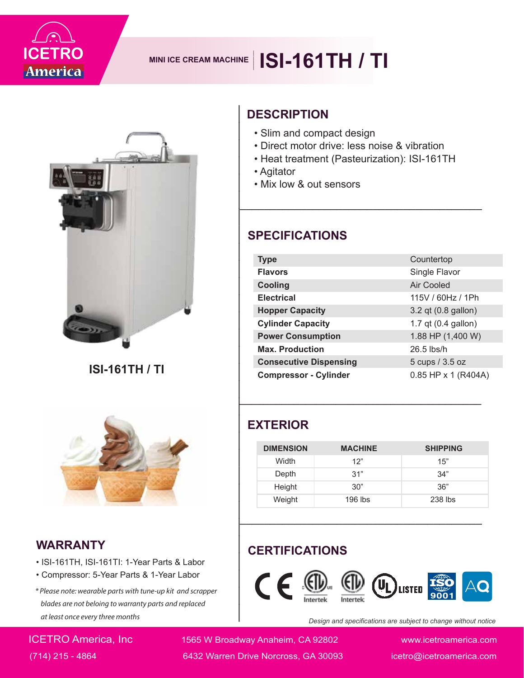

## **MINI ICE CREAM MACHINE** | **ISI-161TH** / TI



**ISI-161TH / TI**



#### **WARRANTY**

- ISI-161TH, ISI-161TI: 1-Year Parts & Labor
- Compressor: 5-Year Parts & 1-Year Labor
- \* Please note: wearable parts with tune-up kit and scrapper blades are not beloing to warranty parts and replaced at least once every three months

### **DESCRIPTION**

- Slim and compact design
- Direct motor drive: less noise & vibration
- Heat treatment (Pasteurization): ISI-161TH

- Agitator
- Mix low & out sensors

| <b>DESCRIPTION</b><br>• Slim and compact design<br>• Direct motor drive: less noise & vibration<br>• Heat treatment (Pasteurization): ISI-161TH<br>• Agitator<br>• Mix low & out sensors |                |                     |  |  |
|------------------------------------------------------------------------------------------------------------------------------------------------------------------------------------------|----------------|---------------------|--|--|
| <b>SPECIFICATIONS</b>                                                                                                                                                                    |                |                     |  |  |
| <b>Type</b>                                                                                                                                                                              |                | Countertop          |  |  |
| <b>Flavors</b>                                                                                                                                                                           |                | Single Flavor       |  |  |
| <b>Cooling</b>                                                                                                                                                                           |                | <b>Air Cooled</b>   |  |  |
| <b>Electrical</b>                                                                                                                                                                        |                | 115V / 60Hz / 1Ph   |  |  |
| <b>Hopper Capacity</b>                                                                                                                                                                   |                | 3.2 qt (0.8 gallon) |  |  |
| <b>Cylinder Capacity</b>                                                                                                                                                                 |                | 1.7 qt (0.4 gallon) |  |  |
| <b>Power Consumption</b>                                                                                                                                                                 |                | 1.88 HP (1,400 W)   |  |  |
| <b>Max. Production</b>                                                                                                                                                                   |                | $26.5$ lbs/h        |  |  |
| <b>Consecutive Dispensing</b>                                                                                                                                                            |                | 5 cups / 3.5 oz     |  |  |
| <b>Compressor - Cylinder</b>                                                                                                                                                             |                | 0.85 HP x 1 (R404A) |  |  |
| <b>EXTERIOR</b>                                                                                                                                                                          |                |                     |  |  |
| <b>DIMENSION</b>                                                                                                                                                                         | <b>MACHINE</b> | <b>SHIPPING</b>     |  |  |
| Width                                                                                                                                                                                    | 12"            | 15"                 |  |  |
| Depth                                                                                                                                                                                    | 31"            | 34"                 |  |  |
| Height                                                                                                                                                                                   | 30"            | 36"                 |  |  |
| Weight                                                                                                                                                                                   | 196 lbs        | 238 lbs             |  |  |
| <b>CERTIFICATIONS</b><br>$\epsilon$<br>LISTED                                                                                                                                            |                |                     |  |  |

#### **EXTERIOR**

| <b>DIMENSION</b> | <b>MACHINE</b> | <b>SHIPPING</b> |
|------------------|----------------|-----------------|
| Width            | 12"            | 15"             |
| Depth            | 31"            | 34"             |
| Height           | 30"            | 36"             |
| Weight           | $196$ lbs      | 238 lbs         |

#### **CERTIFICATIONS**



*Design and specifications are subject to change without notice*

ICETRO America, Inc 1565 W Broadway Anaheim, CA 92802 www.icetroamerica.com